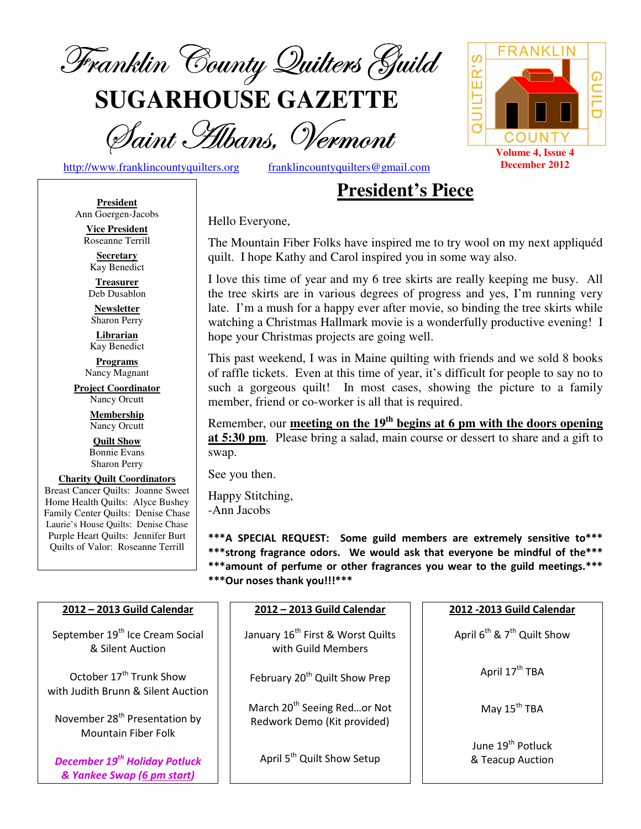

**SUGARHOUSE GAZETTE**

Saint Hibans, Vermont

http://www.franklincountyquilters.org franklincountyquilters@gmail.com

# **President's Piece**

**President** Ann Goergen-Jacobs

**Vice President**  Roseanne Terrill **Secretary** 

Kay Benedict **Treasurer** 

Deb Dusablon

**Newsletter**  Sharon Perry

**Librarian**  Kay Benedict

**Programs** Nancy Magnant

**Project Coordinator** Nancy Orcutt

> **Membership**  Nancy Orcutt

**Quilt Show** Bonnie Evans Sharon Perry

**Charity Quilt Coordinators** Breast Cancer Quilts: Joanne Sweet Home Health Quilts: Alyce Bushey Family Center Quilts: Denise Chase Laurie's House Quilts: Denise Chase Purple Heart Quilts: Jennifer Burt Quilts of Valor: Roseanne Terrill

Hello Everyone,

The Mountain Fiber Folks have inspired me to try wool on my next appliquéd quilt. I hope Kathy and Carol inspired you in some way also.

I love this time of year and my 6 tree skirts are really keeping me busy. All the tree skirts are in various degrees of progress and yes, I'm running very late. I'm a mush for a happy ever after movie, so binding the tree skirts while watching a Christmas Hallmark movie is a wonderfully productive evening! I hope your Christmas projects are going well.

This past weekend, I was in Maine quilting with friends and we sold 8 books of raffle tickets. Even at this time of year, it's difficult for people to say no to such a gorgeous quilt! In most cases, showing the picture to a family member, friend or co-worker is all that is required.

Remember, our **meeting on the 19th begins at 6 pm with the doors opening at 5:30 pm**. Please bring a salad, main course or dessert to share and a gift to swap.

See you then.

Happy Stitching, -Ann Jacobs

\*\*\*A SPECIAL REQUEST: Some guild members are extremely sensitive to\*\*\* \*\*\*strong fragrance odors. We would ask that everyone be mindful of the\*\*\* \*\*\*amount of perfume or other fragrances you wear to the guild meetings.\*\*\*

\*\*\*Our noses thank you!!!\*\*\*

| 2012 - 2013 Guild Calendar                                                | 2012 - 2013 Guild Calendar                                             | 2012 - 2013 Guild Calendar                        |  |
|---------------------------------------------------------------------------|------------------------------------------------------------------------|---------------------------------------------------|--|
| September 19 <sup>th</sup> Ice Cream Social<br>& Silent Auction           | January 16 <sup>th</sup> First & Worst Quilts<br>with Guild Members    | April $6^{th}$ & $7^{th}$ Quilt Show              |  |
| October 17 <sup>th</sup> Trunk Show<br>with Judith Brunn & Silent Auction | February 20 <sup>th</sup> Quilt Show Prep                              | April 17 <sup>th</sup> TBA                        |  |
| November 28 <sup>th</sup> Presentation by<br><b>Mountain Fiber Folk</b>   | March 20 <sup>th</sup> Seeing Redor Not<br>Redwork Demo (Kit provided) | May 15 <sup>th</sup> TBA                          |  |
| <b>December 19th Holiday Potluck</b><br>& Yankee Swap (6 pm start)        | April 5 <sup>th</sup> Quilt Show Setup                                 | June 19 <sup>th</sup> Potluck<br>& Teacup Auction |  |

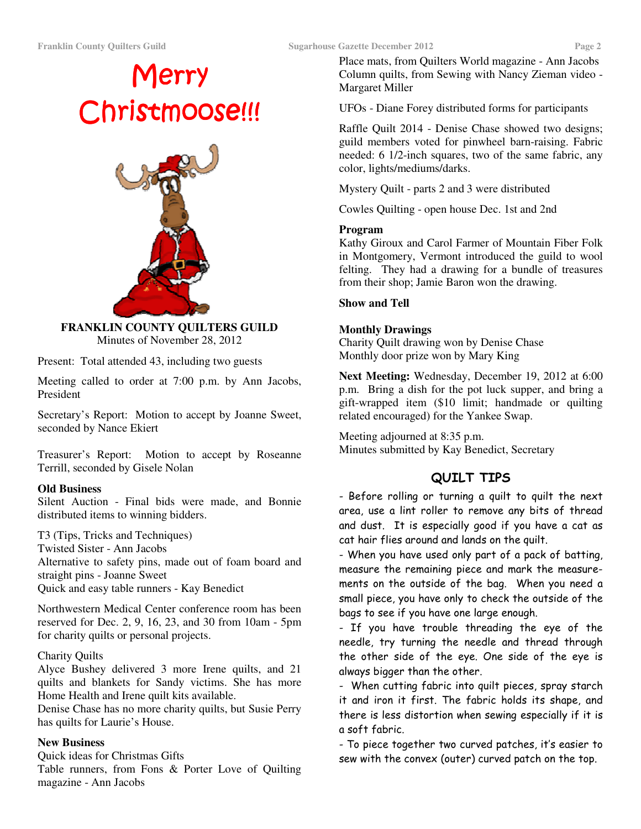# Merry Christmoose!!!



**FRANKLIN COUNTY QUILTERS GUILD**  Minutes of November 28, 2012

Present: Total attended 43, including two guests

Meeting called to order at 7:00 p.m. by Ann Jacobs, President

Secretary's Report: Motion to accept by Joanne Sweet, seconded by Nance Ekiert

Treasurer's Report: Motion to accept by Roseanne Terrill, seconded by Gisele Nolan

#### **Old Business**

Silent Auction - Final bids were made, and Bonnie distributed items to winning bidders.

T3 (Tips, Tricks and Techniques) Twisted Sister - Ann Jacobs Alternative to safety pins, made out of foam board and straight pins - Joanne Sweet Quick and easy table runners - Kay Benedict

Northwestern Medical Center conference room has been reserved for Dec. 2, 9, 16, 23, and 30 from 10am - 5pm for charity quilts or personal projects.

#### Charity Quilts

Alyce Bushey delivered 3 more Irene quilts, and 21 quilts and blankets for Sandy victims. She has more Home Health and Irene quilt kits available.

Denise Chase has no more charity quilts, but Susie Perry has quilts for Laurie's House.

#### **New Business**

Quick ideas for Christmas Gifts Table runners, from Fons & Porter Love of Quilting magazine - Ann Jacobs

Place mats, from Quilters World magazine - Ann Jacobs Column quilts, from Sewing with Nancy Zieman video - Margaret Miller

UFOs - Diane Forey distributed forms for participants

Raffle Quilt 2014 - Denise Chase showed two designs; guild members voted for pinwheel barn-raising. Fabric needed: 6 1/2-inch squares, two of the same fabric, any color, lights/mediums/darks.

Mystery Quilt - parts 2 and 3 were distributed

Cowles Quilting - open house Dec. 1st and 2nd

#### **Program**

Kathy Giroux and Carol Farmer of Mountain Fiber Folk in Montgomery, Vermont introduced the guild to wool felting. They had a drawing for a bundle of treasures from their shop; Jamie Baron won the drawing.

#### **Show and Tell**

#### **Monthly Drawings**

Charity Quilt drawing won by Denise Chase Monthly door prize won by Mary King

**Next Meeting:** Wednesday, December 19, 2012 at 6:00 p.m. Bring a dish for the pot luck supper, and bring a gift-wrapped item (\$10 limit; handmade or quilting related encouraged) for the Yankee Swap.

Meeting adjourned at 8:35 p.m. Minutes submitted by Kay Benedict, Secretary

## QUILT TIPS

- Before rolling or turning a quilt to quilt the next area, use a lint roller to remove any bits of thread and dust. It is especially good if you have a cat as cat hair flies around and lands on the quilt.

- When you have used only part of a pack of batting, measure the remaining piece and mark the measurements on the outside of the bag. When you need a small piece, you have only to check the outside of the bags to see if you have one large enough.

- If you have trouble threading the eye of the needle, try turning the needle and thread through the other side of the eye. One side of the eye is always bigger than the other.

- When cutting fabric into quilt pieces, spray starch it and iron it first. The fabric holds its shape, and there is less distortion when sewing especially if it is a soft fabric.

- To piece together two curved patches, it's easier to sew with the convex (outer) curved patch on the top.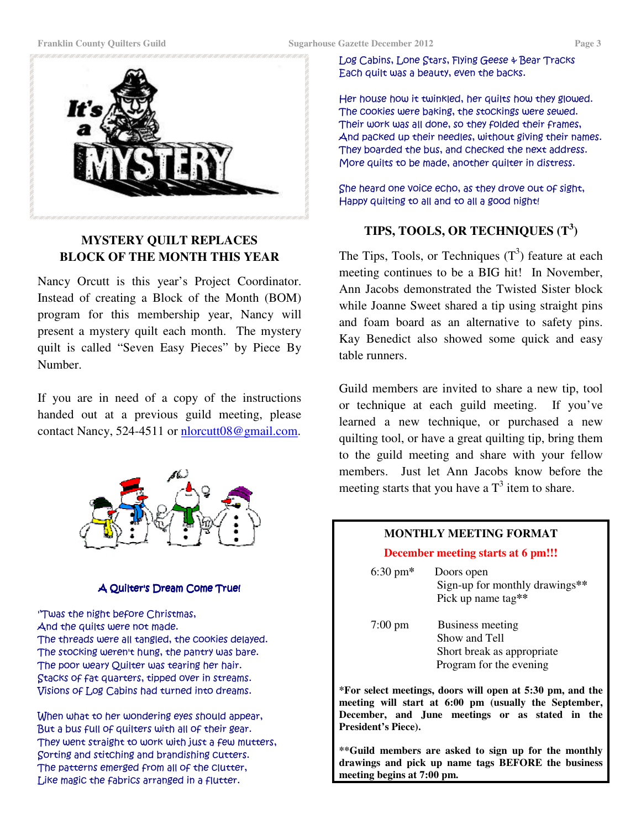

## **MYSTERY QUILT REPLACES BLOCK OF THE MONTH THIS YEAR**

Nancy Orcutt is this year's Project Coordinator. Instead of creating a Block of the Month (BOM) program for this membership year, Nancy will present a mystery quilt each month. The mystery quilt is called "Seven Easy Pieces" by Piece By Number.

If you are in need of a copy of the instructions handed out at a previous guild meeting, please contact Nancy, 524-4511 or nlorcutt08@gmail.com.



#### A Quilter's Dream Come True!

''Twas the night before Christmas, And the quilts were not made. The threads were all tangled, the cookies delayed. The stocking weren't hung, the pantry was bare. The poor weary Quilter was tearing her hair. Stacks of fat quarters, tipped over in streams. Visions of Log Cabins had turned into dreams.

When what to her wondering eyes should appear, But a bus full of quilters with all of their gear. They went straight to work with just a few mutters, Sorting and stitching and brandishing cutters. The patterns emerged from all of the Clutter, Like magic the fabrics arranged in a flutter.

Log Cabins, Lone Stars, Flying Geese & Bear Tracks Each quilt was a beauty, even the backs.

Her house how it twinkled, her quilts how they glowed. The cookies were baking, the stockings were sewed. Their work was all done, so they folded their frames, And packed up their needles, without giving their names. They boarded the bus, and checked the next address. More quilts to be made, another quilter in distress.

She heard one voice echo, as they drove out of sight, Happy quilting to all and to all a good night!

# **TIPS, TOOLS, OR TECHNIQUES (T<sup>3</sup> )**

The Tips, Tools, or Techniques  $(T^3)$  feature at each meeting continues to be a BIG hit! In November, Ann Jacobs demonstrated the Twisted Sister block while Joanne Sweet shared a tip using straight pins and foam board as an alternative to safety pins. Kay Benedict also showed some quick and easy table runners.

Guild members are invited to share a new tip, tool or technique at each guild meeting. If you've learned a new technique, or purchased a new quilting tool, or have a great quilting tip, bring them to the guild meeting and share with your fellow members. Just let Ann Jacobs know before the meeting starts that you have a  $T<sup>3</sup>$  item to share.

#### **MONTHLY MEETING FORMAT**

#### **December meeting starts at 6 pm!!!**

| $6:30 \text{ pm*}$ | Doors open<br>Sign-up for monthly drawings**<br>Pick up name tag**                         |
|--------------------|--------------------------------------------------------------------------------------------|
| $7:00 \text{ pm}$  | Business meeting<br>Show and Tell<br>Short break as appropriate<br>Program for the evening |
|                    | *Ear select meetings, daars will apen at 5:30 nm, and t                                    |

**\*For select meetings, doors will open at 5:30 pm, and the meeting will start at 6:00 pm (usually the September, December, and June meetings or as stated in the President's Piece).** 

**\*\*Guild members are asked to sign up for the monthly drawings and pick up name tags BEFORE the business meeting begins at 7:00 pm.**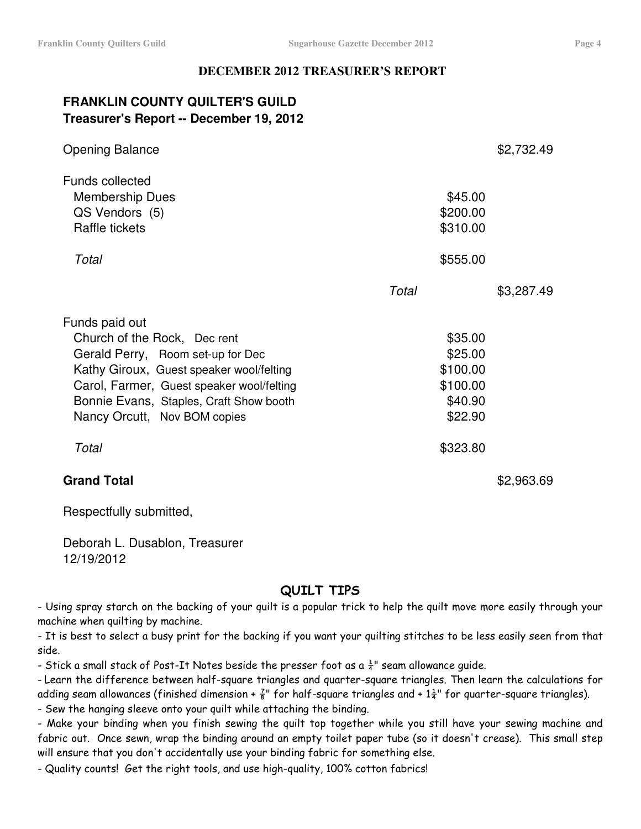#### **DECEMBER 2012 TREASURER'S REPORT**

# **FRANKLIN COUNTY QUILTER'S GUILD Treasurer's Report -- December 19, 2012**

| <b>Opening Balance</b>                                                                                                                                                                                                                                  |                                                                  | \$2,732.49 |
|---------------------------------------------------------------------------------------------------------------------------------------------------------------------------------------------------------------------------------------------------------|------------------------------------------------------------------|------------|
| <b>Funds collected</b><br><b>Membership Dues</b><br>QS Vendors (5)<br>Raffle tickets                                                                                                                                                                    | \$45.00<br>\$200.00<br>\$310.00                                  |            |
| Total                                                                                                                                                                                                                                                   | \$555.00                                                         |            |
|                                                                                                                                                                                                                                                         | Total                                                            | \$3,287.49 |
| Funds paid out<br>Church of the Rock, Dec rent<br>Gerald Perry, Room set-up for Dec<br>Kathy Giroux, Guest speaker wool/felting<br>Carol, Farmer, Guest speaker wool/felting<br>Bonnie Evans, Staples, Craft Show booth<br>Nancy Orcutt, Nov BOM copies | \$35.00<br>\$25.00<br>\$100.00<br>\$100.00<br>\$40.90<br>\$22.90 |            |
| Total                                                                                                                                                                                                                                                   | \$323.80                                                         |            |
| <b>Grand Total</b>                                                                                                                                                                                                                                      |                                                                  | \$2,963.69 |

Respectfully submitted,

Deborah L. Dusablon, Treasurer 12/19/2012

# QUILT TIPS

- Using spray starch on the backing of your quilt is a popular trick to help the quilt move more easily through your machine when quilting by machine.

- It is best to select a busy print for the backing if you want your quilting stitches to be less easily seen from that side.

- Stick a small stack of Post-It Notes beside the presser foot as a  $\frac{1}{4}$ " seam allowance guide.

- Learn the difference between half-square triangles and quarter-square triangles. Then learn the calculations for adding seam allowances (finished dimension +  $\frac{7}{8}$ " for half-square triangles and + 1 $\frac{1}{4}$ " for quarter-square triangles).

- Sew the hanging sleeve onto your quilt while attaching the binding.

- Make your binding when you finish sewing the quilt top together while you still have your sewing machine and fabric out. Once sewn, wrap the binding around an empty toilet paper tube (so it doesn't crease). This small step will ensure that you don't accidentally use your binding fabric for something else.

- Quality counts! Get the right tools, and use high-quality, 100% cotton fabrics!